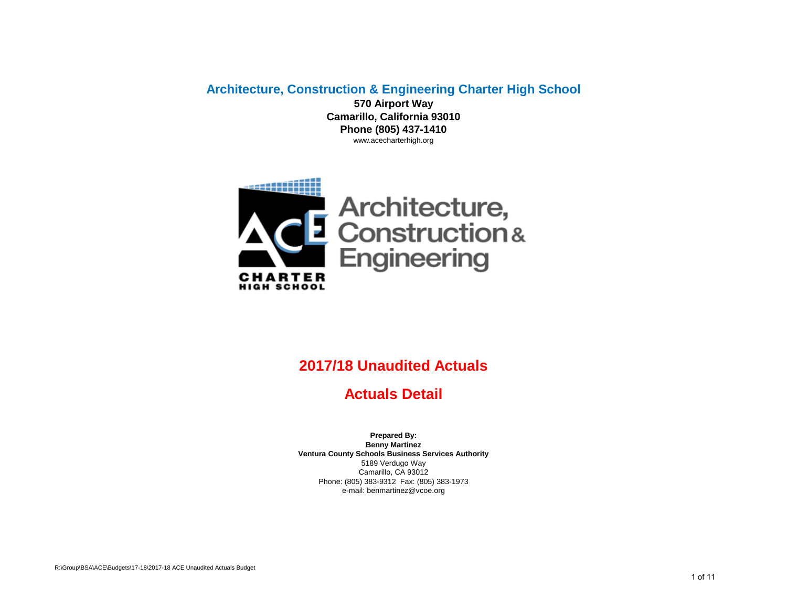**Architecture, Construction & Engineering Charter High School 570 Airport Way**

**Camarillo, California 93010 Phone (805) 437-1410** www.acecharterhigh.org



## **2017/18 Unaudited Actuals**

**Actuals Detail**

Phone: (805) 383-9312 Fax: (805) 383-1973 e-mail: benmartinez@vcoe.org **Prepared By: Benny Martinez Ventura County Schools Business Services Authority** 5189 Verdugo Way Camarillo, CA 93012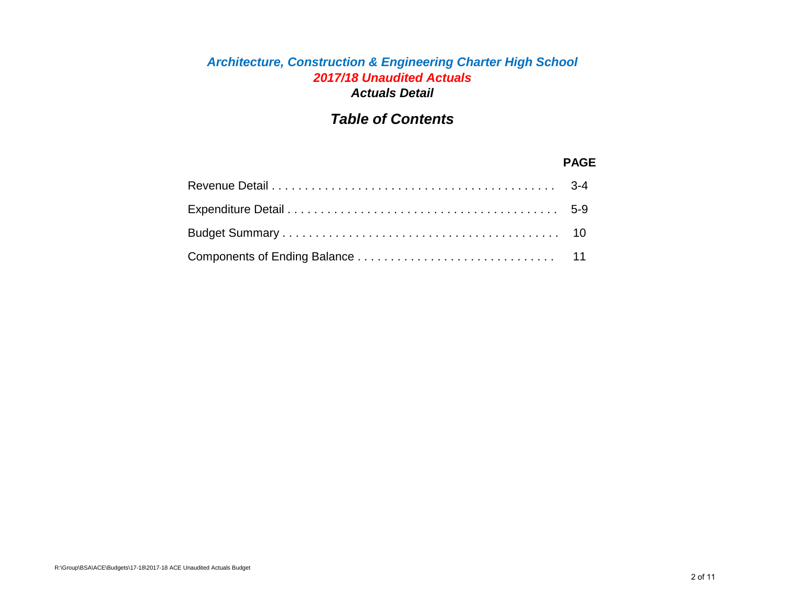#### *Architecture, Construction & Engineering Charter High School 2017/18 Unaudited Actuals Actuals Detail*

## *Table of Contents*

#### **PAGE**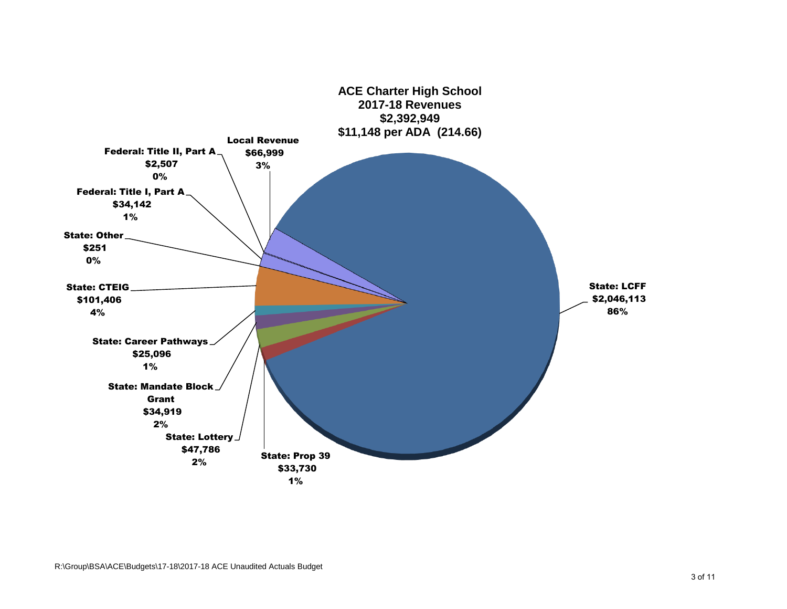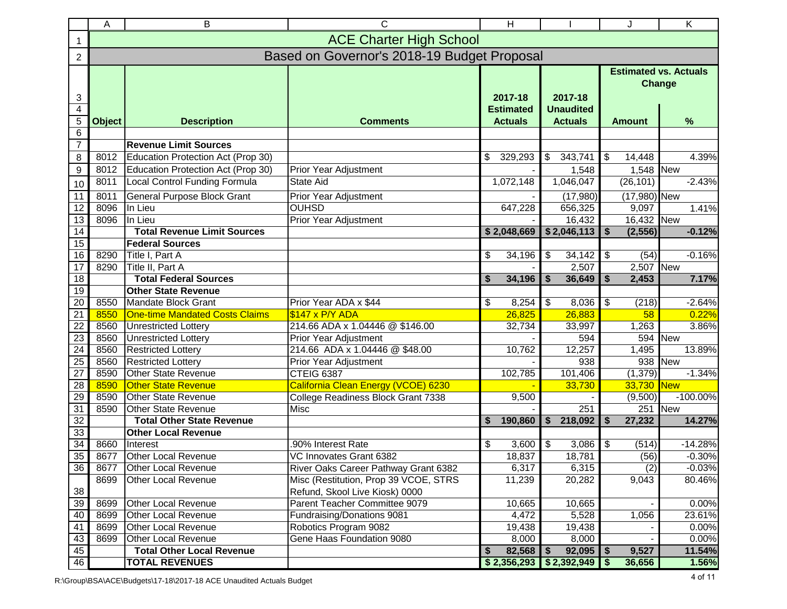|                       | B<br>C<br>Α                                 |                                                  |                                                                         |         | H                |           |                  |                                               |                     | K           |
|-----------------------|---------------------------------------------|--------------------------------------------------|-------------------------------------------------------------------------|---------|------------------|-----------|------------------|-----------------------------------------------|---------------------|-------------|
| 1                     |                                             |                                                  | <b>ACE Charter High School</b>                                          |         |                  |           |                  |                                               |                     |             |
| $\overline{c}$        | Based on Governor's 2018-19 Budget Proposal |                                                  |                                                                         |         |                  |           |                  |                                               |                     |             |
| 3                     |                                             |                                                  |                                                                         | 2017-18 |                  | 2017-18   |                  | <b>Estimated vs. Actuals</b><br><b>Change</b> |                     |             |
| $\overline{4}$        |                                             |                                                  |                                                                         |         | <b>Estimated</b> |           | <b>Unaudited</b> |                                               |                     |             |
| $\overline{5}$        | <b>Object</b>                               | <b>Description</b>                               | <b>Comments</b>                                                         |         | <b>Actuals</b>   |           | <b>Actuals</b>   |                                               | <b>Amount</b>       | %           |
| 6<br>$\overline{7}$   |                                             |                                                  |                                                                         |         |                  |           |                  |                                               |                     |             |
|                       |                                             | <b>Revenue Limit Sources</b>                     |                                                                         |         |                  |           |                  |                                               |                     |             |
| 8                     | 8012                                        | Education Protection Act (Prop 30)               |                                                                         | \$      | 329,293          | \$        | 343,741          | \$                                            | 14,448<br>1,548 New | 4.39%       |
| $\boldsymbol{9}$      | 8012                                        | Education Protection Act (Prop 30)               | Prior Year Adjustment<br><b>State Aid</b>                               |         |                  |           | 1,548            |                                               |                     | $-2.43%$    |
| 10                    | 8011                                        | Local Control Funding Formula                    |                                                                         |         | 1,072,148        |           | 1,046,047        |                                               | (26, 101)           |             |
| 11                    | 8011                                        | <b>General Purpose Block Grant</b>               | Prior Year Adjustment                                                   |         |                  |           | (17,980)         |                                               | (17,980) New        |             |
| $\overline{12}$       | 8096                                        | In Lieu                                          | <b>OUHSD</b>                                                            |         | 647,228          |           | 656,325          |                                               | 9,097               | 1.41%       |
| 13                    | 8096                                        | In Lieu                                          | Prior Year Adjustment                                                   |         |                  |           | 16,432           |                                               | 16,432 New          |             |
| $\overline{14}$       |                                             | <b>Total Revenue Limit Sources</b>               |                                                                         |         | \$2,048,669      |           | \$2,046,113      | \$                                            | (2, 556)            | $-0.12%$    |
| $\overline{15}$       |                                             | <b>Federal Sources</b>                           |                                                                         |         |                  |           |                  |                                               |                     | $-0.16%$    |
| 16                    | 8290                                        | Title I, Part A                                  |                                                                         | \$      | 34,196           | \$        | 34,142<br>2,507  | \$                                            | (54)<br>2,507       | <b>New</b>  |
| $\overline{17}$<br>18 | 8290                                        | Title II, Part A<br><b>Total Federal Sources</b> |                                                                         | \$      | 34,196           | \$        | 36,649           | \$                                            | 2,453               | 7.17%       |
| $\overline{19}$       |                                             | <b>Other State Revenue</b>                       |                                                                         |         |                  |           |                  |                                               |                     |             |
| $\overline{20}$       | 8550                                        | Mandate Block Grant                              | Prior Year ADA x \$44                                                   | \$      | 8,254            | \$        | 8,036            | \$                                            | (218)               | $-2.64%$    |
| $\overline{21}$       | 8550                                        | <b>One-time Mandated Costs Claims</b>            | \$147 x P/Y ADA                                                         |         | 26,825           |           | 26,883           |                                               | 58                  | 0.22%       |
| $\overline{22}$       | 8560                                        | <b>Unrestricted Lottery</b>                      | 214.66 ADA x 1.04446 @ \$146.00                                         |         | 32,734           |           | 33,997           |                                               | 1,263               | 3.86%       |
| $\overline{23}$       | 8560                                        | <b>Unrestricted Lottery</b>                      | Prior Year Adjustment                                                   |         |                  |           | 594              |                                               | 594                 | <b>New</b>  |
| 24                    | 8560                                        | <b>Restricted Lottery</b>                        | 214.66 ADA x 1.04446 @ \$48.00                                          |         | 10,762           |           | 12,257           |                                               | 1,495               | 13.89%      |
| $\overline{25}$       | 8560                                        | <b>Restricted Lottery</b>                        | Prior Year Adjustment                                                   |         |                  | 938       |                  |                                               | 938                 | <b>New</b>  |
| $\overline{27}$       | 8590                                        | <b>Other State Revenue</b>                       | CTEIG 6387                                                              |         | 102,785          |           | 101,406          |                                               | (1, 379)            | $-1.34%$    |
| 28                    | 8590                                        | <b>Other State Revenue</b>                       | California Clean Energy (VCOE) 6230                                     |         |                  |           | 33,730           |                                               | 33,730 New          |             |
| 29                    | 8590                                        | Other State Revenue                              | College Readiness Block Grant 7338                                      |         | 9,500            |           |                  |                                               | (9,500)             | $-100.00\%$ |
| 31                    | 8590                                        | Other State Revenue                              | Misc                                                                    |         |                  |           | 251              |                                               | 251                 | <b>New</b>  |
| $\overline{32}$       |                                             | <b>Total Other State Revenue</b>                 |                                                                         | \$      | 190,860          | $\bullet$ | 218,092          | S.                                            | 27,232              | 14.27%      |
| 33                    |                                             | <b>Other Local Revenue</b>                       |                                                                         |         |                  |           |                  |                                               |                     |             |
| 34                    | 8660                                        | Interest                                         | .90% Interest Rate                                                      | \$      | 3,600            | \$        | 3,086            | \$                                            | (514)               | $-14.28%$   |
| 35                    | 8677                                        | Other Local Revenue                              | VC Innovates Grant 6382                                                 |         | 18,837           |           | 18,781           |                                               | (56)                | $-0.30%$    |
| 36                    | 8677                                        | <b>Other Local Revenue</b>                       | River Oaks Career Pathway Grant 6382                                    |         | 6,317            |           | 6,315            |                                               | (2)                 | $-0.03%$    |
| 38                    | 8699                                        | <b>Other Local Revenue</b>                       | Misc (Restitution, Prop 39 VCOE, STRS<br>Refund, Skool Live Kiosk) 0000 |         | 11,239           |           | 20,282           |                                               | 9,043               | 80.46%      |
| 39                    | 8699                                        | <b>Other Local Revenue</b>                       | Parent Teacher Committee 9079                                           |         | 10,665           |           | 10,665           |                                               |                     | 0.00%       |
| 40                    | 8699                                        | <b>Other Local Revenue</b>                       | Fundraising/Donations 9081                                              |         | 4,472            |           | 5,528            |                                               | 1,056               | 23.61%      |
| 41                    | 8699                                        | Other Local Revenue                              | Robotics Program 9082                                                   |         | 19,438           |           | 19,438           |                                               |                     | 0.00%       |
| 43                    | 8699                                        | Other Local Revenue                              | Gene Haas Foundation 9080                                               |         | 8,000            |           | 8,000            |                                               |                     | 0.00%       |
| 45                    |                                             | <b>Total Other Local Revenue</b>                 |                                                                         | \$      | 82,568           | \$        | 92,095           | \$                                            | 9,527               | 11.54%      |
| 46                    |                                             | <b>TOTAL REVENUES</b>                            |                                                                         |         | \$2,356,293      |           | \$2,392,949      | -S                                            | 36,656              | 1.56%       |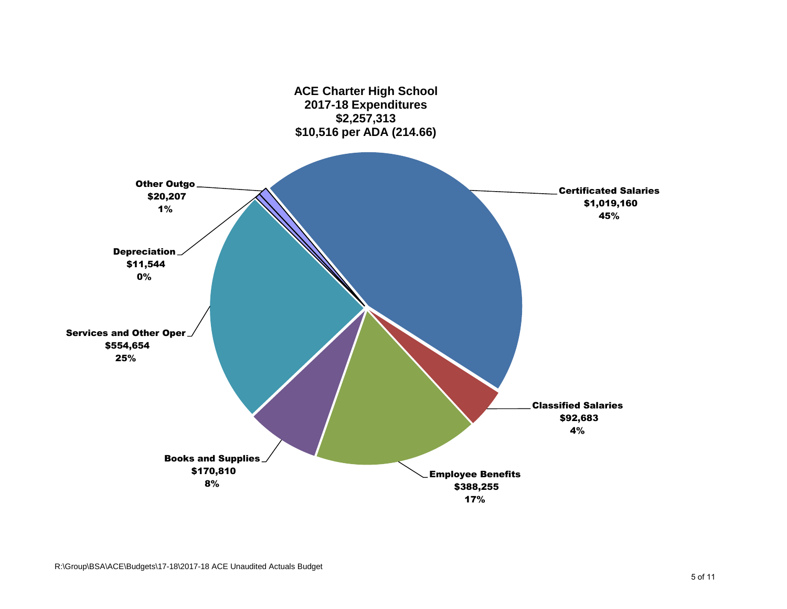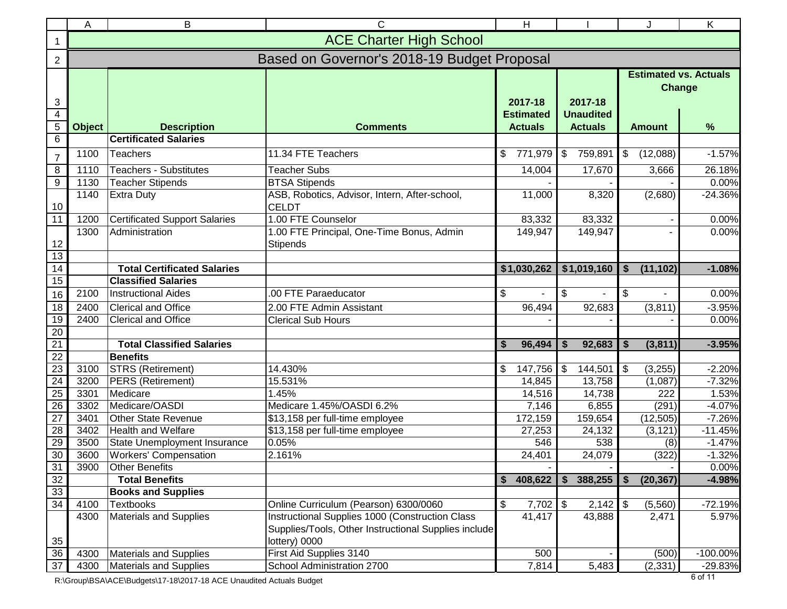|                                       | C<br>B<br>Α                                 |                                                                               |                                                                                                                          |                                               |                                               |                                      | K                                                  |  |  |  |
|---------------------------------------|---------------------------------------------|-------------------------------------------------------------------------------|--------------------------------------------------------------------------------------------------------------------------|-----------------------------------------------|-----------------------------------------------|--------------------------------------|----------------------------------------------------|--|--|--|
| 1                                     | <b>ACE Charter High School</b>              |                                                                               |                                                                                                                          |                                               |                                               |                                      |                                                    |  |  |  |
| $\overline{2}$                        | Based on Governor's 2018-19 Budget Proposal |                                                                               |                                                                                                                          |                                               |                                               |                                      |                                                    |  |  |  |
| 3<br>$\overline{4}$<br>$\overline{5}$ | <b>Object</b>                               | <b>Description</b>                                                            | <b>Comments</b>                                                                                                          | 2017-18<br><b>Estimated</b><br><b>Actuals</b> | 2017-18<br><b>Unaudited</b><br><b>Actuals</b> | <b>Amount</b>                        | <b>Estimated vs. Actuals</b><br><b>Change</b><br>% |  |  |  |
| $6\phantom{1}6$                       |                                             | <b>Certificated Salaries</b>                                                  |                                                                                                                          |                                               |                                               |                                      |                                                    |  |  |  |
| $\overline{7}$                        | 1100                                        | <b>Teachers</b>                                                               | 11.34 FTE Teachers                                                                                                       | \$<br>771,979                                 | $\sqrt[6]{2}$<br>759,891                      | $\sqrt{3}$<br>(12,088)               | $-1.57%$                                           |  |  |  |
| $\overline{8}$                        | 1110                                        | <b>Teachers - Substitutes</b>                                                 | <b>Teacher Subs</b>                                                                                                      | 14,004                                        | 17,670                                        | 3,666                                | 26.18%                                             |  |  |  |
| $\overline{9}$                        | 1130                                        | <b>Teacher Stipends</b>                                                       | <b>BTSA Stipends</b>                                                                                                     |                                               |                                               |                                      | 0.00%                                              |  |  |  |
| 10                                    | 1140                                        | <b>Extra Duty</b>                                                             | ASB, Robotics, Advisor, Intern, After-school,<br><b>CELDT</b>                                                            | 11,000                                        | 8,320                                         | (2,680)                              | $-24.36%$                                          |  |  |  |
| $\overline{11}$                       | 1200                                        | <b>Certificated Support Salaries</b>                                          | 1.00 FTE Counselor                                                                                                       | 83,332                                        | 83,332                                        |                                      | 0.00%                                              |  |  |  |
| 12<br>13                              | 1300                                        | Administration                                                                | 1.00 FTE Principal, One-Time Bonus, Admin<br>149,947<br>149,947<br><b>Stipends</b>                                       |                                               |                                               |                                      |                                                    |  |  |  |
| 14                                    |                                             | <b>Total Certificated Salaries</b>                                            |                                                                                                                          | \$1,030,262                                   | \$1,019,160                                   | $\sqrt{3}$<br>(11, 102)              | $-1.08%$                                           |  |  |  |
| 15                                    |                                             | <b>Classified Salaries</b>                                                    |                                                                                                                          |                                               |                                               |                                      |                                                    |  |  |  |
| 16                                    | 2100                                        | <b>Instructional Aides</b>                                                    | .00 FTE Paraeducator                                                                                                     | \$                                            | \$                                            | $\sqrt{3}$                           | 0.00%                                              |  |  |  |
| 18                                    | 2400                                        | <b>Clerical and Office</b>                                                    | 2.00 FTE Admin Assistant                                                                                                 | 96,494                                        | 92,683                                        | (3,811)                              | $-3.95%$                                           |  |  |  |
| 19                                    | 2400                                        | <b>Clerical and Office</b>                                                    | <b>Clerical Sub Hours</b>                                                                                                |                                               |                                               |                                      | 0.00%                                              |  |  |  |
| $\overline{20}$                       |                                             |                                                                               |                                                                                                                          |                                               |                                               |                                      |                                                    |  |  |  |
| $\overline{21}$                       |                                             | <b>Total Classified Salaries</b>                                              |                                                                                                                          | \$<br>96,494                                  | 92,683<br>S                                   | \$<br>(3,811)                        | $-3.95%$                                           |  |  |  |
| $\overline{22}$                       |                                             | <b>Benefits</b>                                                               |                                                                                                                          |                                               |                                               |                                      |                                                    |  |  |  |
| $\overline{23}$                       | 3100                                        | <b>STRS (Retirement)</b>                                                      | 14.430%                                                                                                                  | \$<br>147,756                                 | \$<br>144,501                                 | \$<br>(3,255)                        | $-2.20%$                                           |  |  |  |
| 24                                    | 3200                                        | <b>PERS</b> (Retirement)                                                      | 15.531%                                                                                                                  | 14,845                                        | 13,758                                        | (1,087)                              | $-7.32%$                                           |  |  |  |
| 25                                    | 3301                                        | Medicare                                                                      | 1.45%                                                                                                                    | 14,516                                        | 14,738                                        | 222                                  | 1.53%                                              |  |  |  |
| $\overline{26}$                       | 3302                                        | Medicare/OASDI                                                                | Medicare 1.45%/OASDI 6.2%                                                                                                | 7,146                                         | 6,855                                         | (291)                                | $-4.07%$                                           |  |  |  |
| $\overline{27}$                       | 3401                                        | Other State Revenue                                                           | \$13,158 per full-time employee                                                                                          | 172,159                                       | 159,654                                       | (12, 505)                            | $-7.26%$                                           |  |  |  |
| $\overline{28}$                       | 3402                                        | <b>Health and Welfare</b>                                                     | \$13,158 per full-time employee                                                                                          | 27,253                                        | 24,132                                        | (3, 121)                             | $-11.45%$                                          |  |  |  |
| 29                                    | 3500                                        | State Unemployment Insurance                                                  | 0.05%                                                                                                                    | 546                                           | 538                                           | (8)                                  | $-1.47%$                                           |  |  |  |
| 30                                    | 3600                                        | <b>Workers' Compensation</b>                                                  | 2.161%                                                                                                                   | 24,401                                        | 24,079                                        | (322)                                | $-1.32%$                                           |  |  |  |
| 31                                    | 3900                                        | <b>Other Benefits</b>                                                         |                                                                                                                          |                                               |                                               |                                      | 0.00%                                              |  |  |  |
| 32                                    |                                             | <b>Total Benefits</b>                                                         |                                                                                                                          | \$<br>408,622                                 | \$<br>388,255                                 | (20, 367)<br>$\overline{\mathbf{s}}$ | $-4.98%$                                           |  |  |  |
| 33 <sup>°</sup>                       |                                             | <b>Books and Supplies</b>                                                     |                                                                                                                          |                                               |                                               |                                      |                                                    |  |  |  |
| 34                                    | 4100                                        | <b>Textbooks</b><br>Online Curriculum (Pearson) 6300/0060<br>\$<br>$7,702$ \$ |                                                                                                                          | $2,142$ \$                                    | (5,560)                                       | $-72.19%$                            |                                                    |  |  |  |
| 35                                    | 4300                                        | <b>Materials and Supplies</b>                                                 | Instructional Supplies 1000 (Construction Class<br>Supplies/Tools, Other Instructional Supplies include<br>lottery) 0000 | 41,417                                        | 43,888                                        | 2,471                                | 5.97%                                              |  |  |  |
| 36                                    | 4300                                        | Materials and Supplies                                                        | First Aid Supplies 3140                                                                                                  | 500                                           |                                               | (500)                                | $-100.00\%$                                        |  |  |  |
| $\overline{37}$                       | 4300                                        | <b>Materials and Supplies</b>                                                 | School Administration 2700                                                                                               | 7,814                                         | 5,483                                         | (2, 331)                             | -29.83%                                            |  |  |  |

R:\Group\BSA\ACE\Budgets\17-18\2017-18 ACE Unaudited Actuals Budget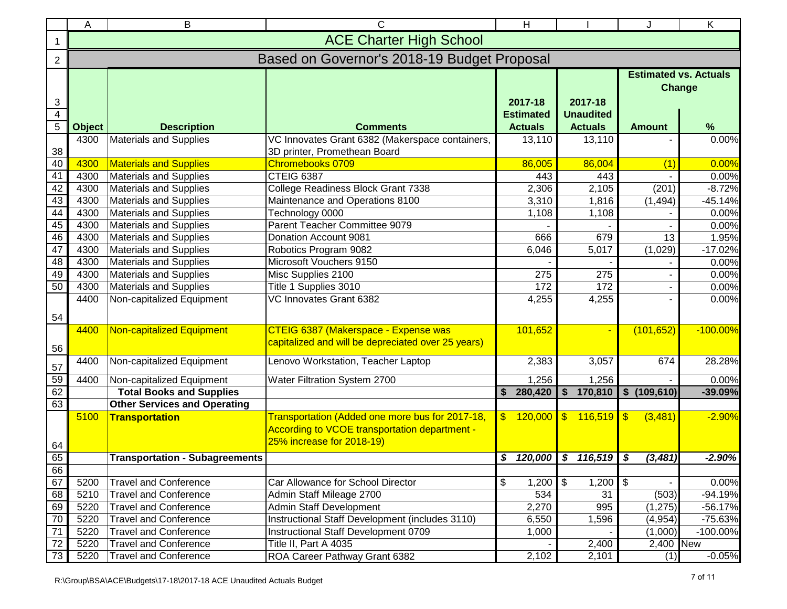|                         | C<br>Α<br>В                                 |                                       |                                                                                            |                                         |                          |                  |                         |                       | K           |  |  |
|-------------------------|---------------------------------------------|---------------------------------------|--------------------------------------------------------------------------------------------|-----------------------------------------|--------------------------|------------------|-------------------------|-----------------------|-------------|--|--|
|                         | <b>ACE Charter High School</b>              |                                       |                                                                                            |                                         |                          |                  |                         |                       |             |  |  |
| $\overline{2}$          | Based on Governor's 2018-19 Budget Proposal |                                       |                                                                                            |                                         |                          |                  |                         |                       |             |  |  |
|                         | <b>Estimated vs. Actuals</b>                |                                       |                                                                                            |                                         |                          |                  |                         |                       |             |  |  |
|                         |                                             |                                       |                                                                                            |                                         |                          |                  |                         |                       | Change      |  |  |
| 3                       |                                             |                                       |                                                                                            | 2017-18                                 |                          | 2017-18          |                         |                       |             |  |  |
| $\overline{\mathbf{4}}$ |                                             |                                       |                                                                                            | <b>Estimated</b>                        |                          | <b>Unaudited</b> |                         |                       |             |  |  |
| $\overline{5}$          | <b>Object</b>                               | <b>Description</b>                    | <b>Comments</b>                                                                            | <b>Actuals</b><br><b>Actuals</b>        |                          |                  |                         | <b>Amount</b>         | $\%$        |  |  |
| 38                      | 4300                                        | Materials and Supplies                | VC Innovates Grant 6382 (Makerspace containers,<br>3D printer, Promethean Board            | 13,110                                  |                          | 13,110           |                         |                       | 0.00%       |  |  |
| 40                      | 4300                                        | <b>Materials and Supplies</b>         | Chromebooks 0709                                                                           | 86,005                                  |                          | 86,004           |                         | (1)                   | 0.00%       |  |  |
| $\overline{41}$         | 4300                                        | Materials and Supplies                | CTEIG 6387                                                                                 |                                         | 443                      | 443              |                         |                       | 0.00%       |  |  |
| 42                      | 4300                                        | Materials and Supplies                | College Readiness Block Grant 7338                                                         | 2,306                                   |                          | 2,105            |                         | (201)                 | $-8.72%$    |  |  |
| 43                      | 4300                                        | Materials and Supplies                | Maintenance and Operations 8100                                                            | 3,310                                   |                          | 1,816            |                         | (1, 494)              | $-45.14%$   |  |  |
| 44                      | 4300                                        | <b>Materials and Supplies</b>         | Technology 0000                                                                            | 1,108                                   |                          | 1,108            |                         |                       | 0.00%       |  |  |
| 45                      | 4300                                        | <b>Materials and Supplies</b>         | Parent Teacher Committee 9079                                                              |                                         |                          |                  |                         |                       | 0.00%       |  |  |
| 46                      | 4300                                        | Materials and Supplies                | Donation Account 9081                                                                      | 666                                     |                          | 679              |                         | 13<br>(1,029)         | 1.95%       |  |  |
| 47                      | 4300                                        | <b>Materials and Supplies</b>         | Robotics Program 9082                                                                      | 6,046                                   |                          | 5,017            |                         | $-17.02%$             |             |  |  |
| 48                      | 4300                                        | Materials and Supplies                | Microsoft Vouchers 9150                                                                    |                                         |                          |                  |                         |                       | 0.00%       |  |  |
| 49                      | 4300                                        | Materials and Supplies                | Misc Supplies 2100                                                                         | 275                                     |                          | 275              |                         |                       | 0.00%       |  |  |
| 50                      | 4300                                        | Materials and Supplies                | Title 1 Supplies 3010                                                                      | 172                                     |                          | 172              |                         |                       | 0.00%       |  |  |
| 54                      | 4400                                        | Non-capitalized Equipment             | VC Innovates Grant 6382                                                                    | 4,255                                   |                          | 4,255            |                         |                       | 0.00%       |  |  |
|                         | 4400                                        | Non-capitalized Equipment             | CTEIG 6387 (Makerspace - Expense was<br>capitalized and will be depreciated over 25 years) | 101,652                                 |                          |                  |                         | (101, 652)            | $-100.00\%$ |  |  |
| 56                      |                                             |                                       |                                                                                            |                                         |                          |                  |                         |                       |             |  |  |
| 57                      | 4400                                        | Non-capitalized Equipment             | Lenovo Workstation, Teacher Laptop                                                         | 2,383                                   |                          | 3,057            |                         | 674                   | 28.28%      |  |  |
| 59                      | 4400                                        | Non-capitalized Equipment             | Water Filtration System 2700                                                               | 1,256                                   |                          | 1,256            |                         |                       | 0.00%       |  |  |
| 62                      |                                             | <b>Total Books and Supplies</b>       |                                                                                            | 280,420<br>\$                           |                          | 170,810<br>\$    | $\mathbf{s}$            | (109, 610)            | $-39.09%$   |  |  |
| 63                      |                                             | <b>Other Services and Operating</b>   |                                                                                            |                                         |                          |                  |                         |                       |             |  |  |
|                         | 5100                                        | <b>Transportation</b>                 | Transportation (Added one more bus for 2017-18,                                            | $\mathbf{\$}$<br>120,000                | \$ 116,519<br>$\sqrt{3}$ |                  | (3,481)                 | $-2.90%$              |             |  |  |
|                         |                                             |                                       | According to VCOE transportation department -                                              |                                         |                          |                  |                         |                       |             |  |  |
| 64                      |                                             |                                       | 25% increase for 2018-19)                                                                  |                                         |                          |                  |                         |                       |             |  |  |
| 65                      |                                             | <b>Transportation - Subagreements</b> | \$116,519<br>\$<br>120,000                                                                 |                                         |                          |                  | \$                      | (3, 481)              | $-2.90%$    |  |  |
| 66                      |                                             |                                       |                                                                                            |                                         |                          |                  |                         |                       |             |  |  |
| 67                      | 5200                                        | <b>Travel and Conference</b>          | Car Allowance for School Director                                                          | $\overline{\mathcal{F}}$<br>\$<br>1,200 |                          | 1,200            | $\overline{\mathbf{3}}$ |                       | 0.00%       |  |  |
| 68                      | 5210                                        | <b>Travel and Conference</b>          | Admin Staff Mileage 2700                                                                   | 534<br>31                               |                          | (503)            | $-94.19%$               |                       |             |  |  |
| 69                      | 5220                                        | <b>Travel and Conference</b>          | Admin Staff Development                                                                    | 2,270                                   |                          | 995              |                         | (1, 275)<br>$-56.17%$ |             |  |  |
| 70                      | 5220                                        | <b>Travel and Conference</b>          | Instructional Staff Development (includes 3110)                                            | 6,550                                   |                          | 1,596            |                         | (4, 954)<br>-75.63%   |             |  |  |
| $\overline{71}$         | 5220                                        | <b>Travel and Conference</b>          | Instructional Staff Development 0709                                                       | 1,000                                   |                          |                  |                         | (1,000)<br>-100.00%   |             |  |  |
| 72                      | 5220                                        | <b>Travel and Conference</b>          | Title II, Part A 4035                                                                      |                                         |                          | 2,400            |                         | 2,400 New             |             |  |  |
| 73                      | 5220                                        | <b>Travel and Conference</b>          | ROA Career Pathway Grant 6382                                                              | 2,102                                   |                          | 2,101            | (1)<br>$-0.05%$         |                       |             |  |  |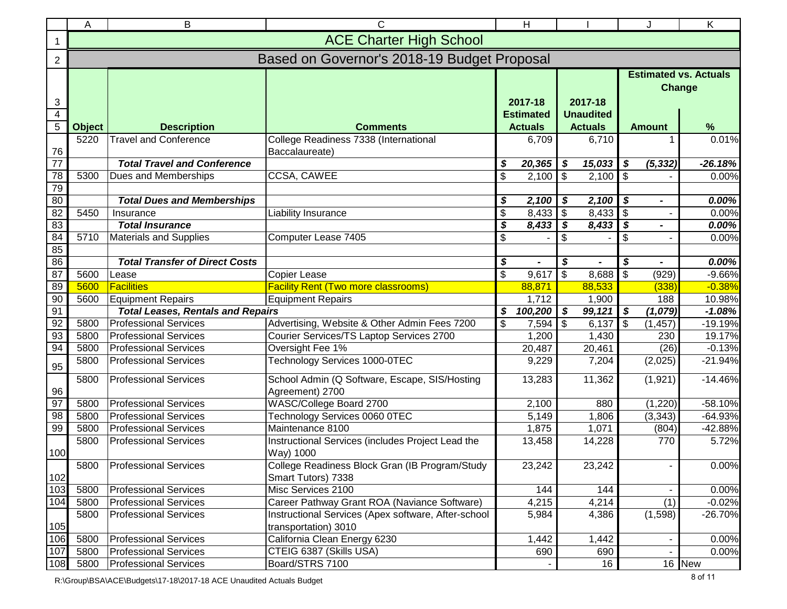|                                  | B<br>C<br>H<br>Α                            |                                          |                                                                             |                           |                                    |                                    | Κ                          |                                        |           |  |
|----------------------------------|---------------------------------------------|------------------------------------------|-----------------------------------------------------------------------------|---------------------------|------------------------------------|------------------------------------|----------------------------|----------------------------------------|-----------|--|
| 1                                | <b>ACE Charter High School</b>              |                                          |                                                                             |                           |                                    |                                    |                            |                                        |           |  |
| $\overline{2}$                   | Based on Governor's 2018-19 Budget Proposal |                                          |                                                                             |                           |                                    |                                    |                            |                                        |           |  |
| 3                                |                                             |                                          |                                                                             |                           | 2017-18<br>2017-18                 |                                    |                            | <b>Estimated vs. Actuals</b><br>Change |           |  |
| $\overline{4}$<br>$\overline{5}$ | <b>Object</b>                               | <b>Description</b>                       | <b>Comments</b>                                                             |                           | <b>Estimated</b><br><b>Actuals</b> | <b>Unaudited</b><br><b>Actuals</b> |                            | <b>Amount</b>                          | %         |  |
|                                  | 5220                                        | <b>Travel and Conference</b>             | College Readiness 7338 (International                                       |                           | 6,709                              | 6,710                              |                            |                                        | 0.01%     |  |
| 76                               |                                             |                                          | Baccalaureate)                                                              |                           |                                    |                                    |                            |                                        |           |  |
| $\overline{77}$                  |                                             | <b>Total Travel and Conference</b>       |                                                                             | S                         | 20,365                             | 15,033<br>\$                       | \$                         | (5, 332)                               | $-26.18%$ |  |
| 78                               | 5300                                        | Dues and Memberships                     | CCSA, CAWEE                                                                 | \$                        | 2,100                              | \$<br>2,100                        | $\sqrt{3}$                 |                                        | 0.00%     |  |
| 79                               |                                             |                                          |                                                                             |                           |                                    |                                    |                            |                                        |           |  |
| 80                               |                                             | <b>Total Dues and Memberships</b>        |                                                                             | \$                        | 2,100                              | \$<br>2,100                        | $\boldsymbol{\mathcal{S}}$ | $\blacksquare$                         | 0.00%     |  |
| 82                               | 5450                                        | Insurance                                | Liability Insurance                                                         | \$                        | 8,433                              | \$<br>8,433                        | $\sqrt{3}$                 |                                        | 0.00%     |  |
| 83                               |                                             | <b>Total Insurance</b>                   |                                                                             | \$                        | 8,433                              | \$<br>8,433                        | $\sqrt{s}$                 |                                        | 0.00%     |  |
| 84                               | 5710                                        | <b>Materials and Supplies</b>            | Computer Lease 7405                                                         | $\boldsymbol{\mathsf{S}}$ |                                    | \$                                 | $\boldsymbol{\mathsf{S}}$  |                                        | 0.00%     |  |
| 85                               |                                             |                                          |                                                                             |                           |                                    |                                    |                            |                                        |           |  |
| 86                               |                                             | <b>Total Transfer of Direct Costs</b>    |                                                                             | \$                        |                                    | \$                                 | \$                         |                                        | 0.00%     |  |
| 87                               | 5600                                        | Lease                                    | Copier Lease                                                                | $\overline{\mathbf{3}}$   | 9,617                              | $\boldsymbol{\mathsf{S}}$<br>8,688 | $\overline{\mathfrak{s}}$  | (929)                                  | $-9.66%$  |  |
| 89                               | 5600                                        | <b>Facilities</b>                        | <b>Facility Rent (Two more classrooms)</b>                                  |                           | 88,871                             | 88,533                             |                            | (338)                                  | $-0.38%$  |  |
| 90                               | 5600                                        | <b>Equipment Repairs</b>                 | <b>Equipment Repairs</b>                                                    |                           | 1,712                              | 1,900                              |                            | 188                                    | 10.98%    |  |
| 91                               |                                             | <b>Total Leases, Rentals and Repairs</b> |                                                                             | \$                        | 100,200                            | \$<br>99,121                       | \$                         | (1,079)                                | $-1.08%$  |  |
| 92<br>93                         | 5800                                        | <b>Professional Services</b>             | Advertising, Website & Other Admin Fees 7200                                | \$                        | 7,594                              | \$<br>6,137                        | $\mathfrak{F}$             | (1, 457)                               | $-19.19%$ |  |
| 94                               | 5800<br>5800                                | <b>Professional Services</b>             | Courier Services/TS Laptop Services 2700                                    |                           | 1,200                              | 1,430                              |                            | 230                                    | 19.17%    |  |
|                                  |                                             | <b>Professional Services</b>             | Oversight Fee 1%                                                            |                           | 20,487                             | 20,461                             |                            | (26)                                   | $-0.13%$  |  |
| 95                               | 5800                                        | <b>Professional Services</b>             | Technology Services 1000-0TEC                                               |                           | 9,229                              | 7,204                              |                            | (2,025)                                | $-21.94%$ |  |
| 96                               | 5800                                        | <b>Professional Services</b>             | School Admin (Q Software, Escape, SIS/Hosting<br>Agreement) 2700            |                           | 13,283                             | 11,362                             |                            | (1,921)                                | $-14.46%$ |  |
| 97                               | 5800                                        | <b>Professional Services</b>             | WASC/College Board 2700                                                     |                           | 2,100                              | 880                                |                            | (1,220)                                | $-58.10%$ |  |
| 98                               | 5800                                        | <b>Professional Services</b>             | Technology Services 0060 0TEC                                               |                           | 5,149                              | 1,806                              |                            | (3, 343)                               | $-64.93%$ |  |
| 99                               | 5800                                        | <b>Professional Services</b>             | Maintenance 8100                                                            |                           | 1,875                              | 1,071                              |                            | (804)                                  | $-42.88%$ |  |
| 100                              | 5800                                        | <b>Professional Services</b>             | Instructional Services (includes Project Lead the<br>Way) 1000              |                           | 13,458<br>14,228                   |                                    |                            | 770                                    | 5.72%     |  |
| 102                              |                                             | 5800 Professional Services               | College Readiness Block Gran (IB Program/Study<br>Smart Tutors) 7338        |                           | 23,242<br>23,242                   |                                    |                            |                                        | 0.00%     |  |
| 103                              | 5800                                        | <b>Professional Services</b>             | Misc Services 2100                                                          | 144                       |                                    | 144                                |                            |                                        | 0.00%     |  |
| 104                              | 5800                                        | <b>Professional Services</b>             | Career Pathway Grant ROA (Naviance Software)                                |                           | 4,215<br>4,214                     |                                    |                            | (1)                                    | $-0.02%$  |  |
| $105$                            | 5800                                        | <b>Professional Services</b>             | Instructional Services (Apex software, After-school<br>transportation) 3010 |                           | 5,984<br>4,386                     |                                    |                            | (1,598)                                | $-26.70%$ |  |
| 106                              | 5800                                        | <b>Professional Services</b>             | California Clean Energy 6230                                                |                           | 1,442<br>1,442                     |                                    |                            |                                        | 0.00%     |  |
| $107$                            | 5800                                        | <b>Professional Services</b>             | CTEIG 6387 (Skills USA)                                                     |                           | 690                                | 690                                |                            |                                        | 0.00%     |  |
| 108                              | 5800                                        | <b>Professional Services</b>             | Board/STRS 7100                                                             |                           |                                    | 16                                 |                            |                                        | 16 New    |  |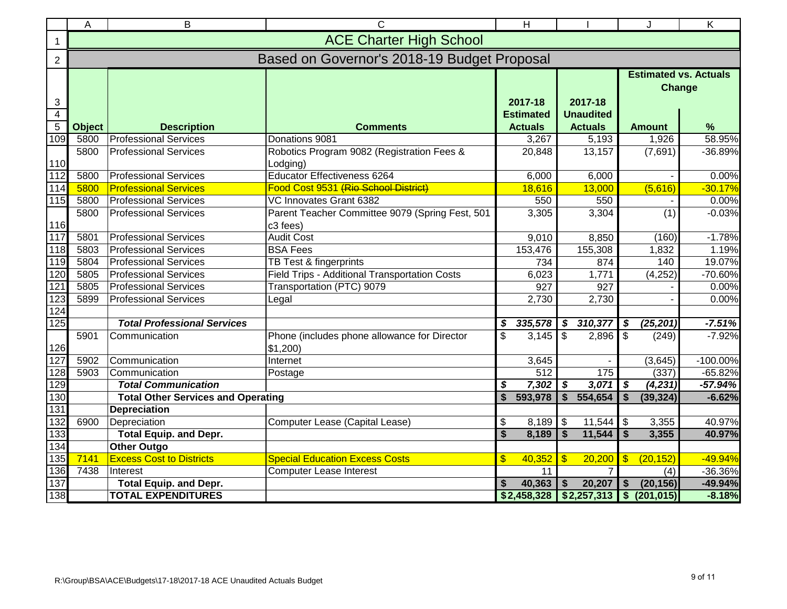|                                | $\overline{\text{C}}$<br>B<br>A<br><b>ACE Charter High School</b> |                                                                                                      |                                                             |                                                                     |                           |                                       | $\overline{\mathsf{K}}$ |  |  |  |
|--------------------------------|-------------------------------------------------------------------|------------------------------------------------------------------------------------------------------|-------------------------------------------------------------|---------------------------------------------------------------------|---------------------------|---------------------------------------|-------------------------|--|--|--|
| $\mathbf 1$                    |                                                                   |                                                                                                      |                                                             |                                                                     |                           |                                       |                         |  |  |  |
| $\overline{2}$                 | Based on Governor's 2018-19 Budget Proposal                       |                                                                                                      |                                                             |                                                                     |                           |                                       |                         |  |  |  |
| $\mathbf{3}$<br>$\overline{4}$ |                                                                   | <b>Estimated vs. Actuals</b><br>Change<br>2017-18<br>2017-18<br><b>Unaudited</b><br><b>Estimated</b> |                                                             |                                                                     |                           |                                       |                         |  |  |  |
| $\overline{5}$                 | <b>Object</b>                                                     | <b>Description</b>                                                                                   | <b>Comments</b>                                             | <b>Actuals</b>                                                      | <b>Actuals</b>            | <b>Amount</b>                         | %                       |  |  |  |
| 109                            | 5800                                                              | <b>Professional Services</b>                                                                         | Donations 9081                                              | $\overline{3,}267$                                                  | 5,193                     | 1,926                                 | 58.95%                  |  |  |  |
| 110                            | 5800                                                              | <b>Professional Services</b>                                                                         | Robotics Program 9082 (Registration Fees &<br>Lodging)      | 20,848                                                              | 13,157                    | (7,691)                               | -36.89%                 |  |  |  |
| 112                            | 5800                                                              | <b>Professional Services</b>                                                                         | <b>Educator Effectiveness 6264</b>                          | 6,000                                                               | 6,000                     |                                       | 0.00%                   |  |  |  |
| 114                            | 5800                                                              | <b>Professional Services</b>                                                                         | Food Cost 9531 (Rio School District)                        | 18,616                                                              | 13,000                    | (5,616)                               | $-30.17%$               |  |  |  |
| 115                            | 5800                                                              | <b>Professional Services</b>                                                                         | VC Innovates Grant 6382                                     | 550                                                                 | 550                       |                                       | 0.00%                   |  |  |  |
| 116                            | 5800                                                              | <b>Professional Services</b>                                                                         | Parent Teacher Committee 9079 (Spring Fest, 501<br>c3 fees) | 3,305                                                               | 3,304                     | (1)                                   | $-0.03%$                |  |  |  |
| $117$                          | 5801                                                              | <b>Professional Services</b>                                                                         | <b>Audit Cost</b>                                           | 9,010                                                               | 8,850                     | (160)                                 | $-1.78%$                |  |  |  |
| 118                            | 5803                                                              | <b>Professional Services</b>                                                                         | <b>BSA Fees</b>                                             | 153,476                                                             | 155,308                   | 1,832                                 | 1.19%                   |  |  |  |
| 119                            | 5804                                                              | <b>Professional Services</b>                                                                         | TB Test & fingerprints                                      | 734                                                                 | 874                       | 140                                   | 19.07%                  |  |  |  |
| 120                            | 5805                                                              | <b>Professional Services</b>                                                                         | Field Trips - Additional Transportation Costs               | 6,023                                                               | 1,771                     | (4, 252)                              | $-70.60%$               |  |  |  |
| 121                            | 5805                                                              | <b>Professional Services</b>                                                                         | Transportation (PTC) 9079                                   | 927                                                                 | 927                       |                                       | 0.00%                   |  |  |  |
| 123                            | 5899                                                              | <b>Professional Services</b>                                                                         | Legal                                                       | 2,730                                                               | 2,730                     |                                       | 0.00%                   |  |  |  |
| 124                            |                                                                   |                                                                                                      |                                                             |                                                                     |                           |                                       |                         |  |  |  |
| 125                            |                                                                   | <b>Total Professional Services</b>                                                                   |                                                             | \$<br>335,578                                                       | 310,377<br>\$             | \$<br>(25, 201)                       | $-7.51%$                |  |  |  |
| 126                            | 5901                                                              | Communication                                                                                        | Phone (includes phone allowance for Director<br>\$1,200     | \$<br>3,145                                                         | \$<br>2,896               | \$<br>(249)                           | $-7.92%$                |  |  |  |
| 127                            | 5902                                                              | Communication                                                                                        | Internet                                                    | 3,645                                                               |                           | (3,645)                               | $-100.00%$              |  |  |  |
| 128                            | 5903                                                              | Communication                                                                                        | Postage                                                     | 512                                                                 | 175                       | (337)                                 | $-65.82%$               |  |  |  |
| 129                            |                                                                   | <b>Total Communication</b>                                                                           |                                                             | 7,302<br>\$                                                         | 3,071<br>$\boldsymbol{s}$ | $\boldsymbol{\mathsf{s}}$<br>(4, 231) | $-57.94%$               |  |  |  |
| 130                            |                                                                   | <b>Total Other Services and Operating</b>                                                            |                                                             | $\overline{\mathbf{s}}$<br>593,978                                  | 554,654<br>$\mathbf{s}$   | \$<br>(39, 324)                       | $-6.62%$                |  |  |  |
| 131                            |                                                                   | <b>Depreciation</b>                                                                                  |                                                             |                                                                     |                           |                                       |                         |  |  |  |
| 132                            | 6900                                                              | Depreciation                                                                                         | Computer Lease (Capital Lease)                              | \$<br>8,189                                                         | 11,544<br>\$              | \$<br>3,355                           | 40.97%                  |  |  |  |
| 133                            |                                                                   | <b>Total Equip. and Depr.</b>                                                                        |                                                             | \$<br>8,189                                                         | \$<br>11,544              | \$<br>3,355                           | 40.97%                  |  |  |  |
| 134                            |                                                                   | <b>Other Outgo</b>                                                                                   |                                                             |                                                                     |                           |                                       |                         |  |  |  |
| 135                            | 7141                                                              | <b>Excess Cost to Districts</b>                                                                      | <b>Special Education Excess Costs</b>                       | $\frac{1}{2}$<br>40,352<br>$\mathbf{\$}$<br>20,200<br>$\mathbf{\$}$ |                           | (20, 152)                             | $-49.94%$               |  |  |  |
| 136                            | 7438                                                              | Interest                                                                                             | <b>Computer Lease Interest</b>                              | 11                                                                  | $\overline{7}$            | (4)                                   | -36.36%                 |  |  |  |
| 137                            |                                                                   | <b>Total Equip. and Depr.</b>                                                                        |                                                             | 40,363<br>S                                                         | 20,207                    | (20, 156)<br>\$                       | $-49.94%$               |  |  |  |
| 138                            |                                                                   | <b>TOTAL EXPENDITURES</b>                                                                            |                                                             | \$2,458,328                                                         | \$2,257,313               | \$ (201, 015)                         | $-8.18%$                |  |  |  |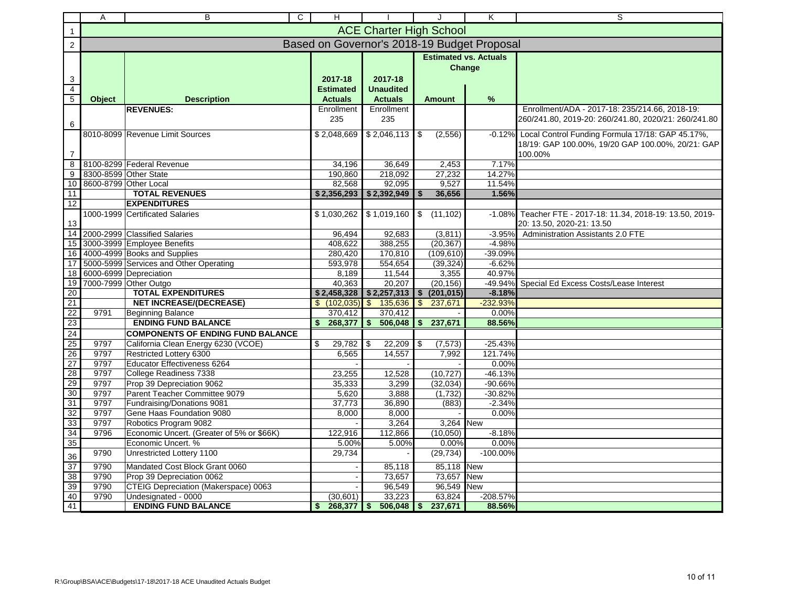|                                       | Α            | $\mathsf{C}$<br>B                                              | H                                             |                                               |                                                         | J          | Κ                | S                                                                                                                       |
|---------------------------------------|--------------|----------------------------------------------------------------|-----------------------------------------------|-----------------------------------------------|---------------------------------------------------------|------------|------------------|-------------------------------------------------------------------------------------------------------------------------|
| 1                                     |              |                                                                |                                               | <b>ACE Charter High School</b>                |                                                         |            |                  |                                                                                                                         |
| 2                                     |              |                                                                | Based on Governor's 2018-19 Budget Proposal   |                                               |                                                         |            |                  |                                                                                                                         |
| 3<br>$\overline{4}$<br>$\overline{5}$ | Object       | <b>Description</b>                                             | 2017-18<br><b>Estimated</b><br><b>Actuals</b> | 2017-18<br><b>Unaudited</b><br><b>Actuals</b> | <b>Estimated vs. Actuals</b><br>Change<br><b>Amount</b> |            | %                |                                                                                                                         |
|                                       |              | <b>REVENUES:</b>                                               | Enrollment                                    | Enrollment                                    |                                                         |            |                  | Enrollment/ADA - 2017-18: 235/214.66, 2018-19:                                                                          |
| 6                                     |              |                                                                | 235                                           | 235                                           |                                                         |            |                  | 260/241.80, 2019-20: 260/241.80, 2020/21: 260/241.80                                                                    |
| 7                                     |              | 8010-8099 Revenue Limit Sources                                | \$2,048,669                                   | $$2,046,113$ \\$                              |                                                         | (2, 556)   |                  | -0.12% Local Control Funding Formula 17/18: GAP 45.17%,<br>18/19: GAP 100.00%, 19/20 GAP 100.00%, 20/21: GAP<br>100.00% |
| 8                                     |              | 8100-8299 Federal Revenue                                      | 34.196                                        | 36.649                                        |                                                         | 2.453      | 7.17%            |                                                                                                                         |
| $\overline{9}$                        |              | 8300-8599 Other State                                          | 190.860                                       | 218,092                                       |                                                         | 27,232     | 14.27%           |                                                                                                                         |
| 10                                    |              | 8600-8799 Other Local                                          | 82,568                                        | 92,095                                        |                                                         | 9,527      | 11.54%           |                                                                                                                         |
| 11                                    |              | <b>TOTAL REVENUES</b>                                          | \$2,356,293                                   | \$2,392,949                                   |                                                         | 36,656     | 1.56%            |                                                                                                                         |
| 12                                    |              | <b>EXPENDITURES</b>                                            |                                               |                                               |                                                         |            |                  |                                                                                                                         |
| 13                                    |              | 1000-1999 Certificated Salaries                                |                                               | $$1,030,262$ $$1,019,160$ \$                  |                                                         | (11, 102)  | $-1.08%$         | Teacher FTE - 2017-18: 11.34, 2018-19: 13.50, 2019-<br>20: 13.50, 2020-21: 13.50                                        |
| 14                                    |              | 2000-2999 Classified Salaries                                  | 96,494                                        | 92,683                                        |                                                         | (3,811)    | $-3.95%$         | Administration Assistants 2.0 FTE                                                                                       |
| 15                                    |              | 3000-3999 Employee Benefits                                    | 408,622                                       | 388,255                                       |                                                         | (20, 367)  | -4.98%           |                                                                                                                         |
| 16                                    |              | 4000-4999 Books and Supplies                                   | 280,420                                       | 170,810                                       |                                                         | (109, 610) | -39.09%          |                                                                                                                         |
| 17                                    |              | 5000-5999 Services and Other Operating                         | 593,978                                       | 554,654                                       |                                                         | (39, 324)  | $-6.62%$         |                                                                                                                         |
| 18                                    |              | 6000-6999 Depreciation                                         | 8,189                                         | 11,544                                        |                                                         | 3,355      | 40.97%           |                                                                                                                         |
| 19                                    |              | 7000-7999 Other Outgo                                          | 40,363                                        | 20,207                                        |                                                         | (20, 156)  | -49.94%          | Special Ed Excess Costs/Lease Interest                                                                                  |
| $\overline{20}$                       |              | <b>TOTAL EXPENDITURES</b>                                      | \$2,458,328                                   | $$2,257,313$ \\$                              |                                                         | (201, 015) | $-8.18%$         |                                                                                                                         |
| 21                                    |              | <b>NET INCREASE/(DECREASE)</b>                                 | \$ (102,035)                                  | $\overline{\mathbf{s}}$<br>135,636            | <b>S</b>                                                | 237,671    | $-232.93%$       |                                                                                                                         |
| $\overline{22}$                       | 9791         | Beginning Balance                                              | 370,412                                       | 370,412                                       |                                                         |            | 0.00%            |                                                                                                                         |
| 23                                    |              | <b>ENDING FUND BALANCE</b>                                     | 268,377<br>\$                                 | 506,048<br>\$                                 | \$                                                      | 237,671    | 88.56%           |                                                                                                                         |
| 24                                    |              | <b>COMPONENTS OF ENDING FUND BALANCE</b>                       |                                               |                                               |                                                         |            |                  |                                                                                                                         |
| 25                                    | 9797<br>9797 | California Clean Energy 6230 (VCOE)<br>Restricted Lottery 6300 | \$<br>29,782                                  | \$<br>$22,209$ \$                             |                                                         | (7, 573)   | $-25.43%$        |                                                                                                                         |
| 26<br>27                              | 9797         | Educator Effectiveness 6264                                    | 6,565                                         | 14,557                                        |                                                         | 7,992      | 121.74%<br>0.00% |                                                                                                                         |
| 28                                    | 9797         | College Readiness 7338                                         | 23,255                                        | 12,528                                        |                                                         | (10, 727)  | $-46.13%$        |                                                                                                                         |
| 29                                    | 9797         | Prop 39 Depreciation 9062                                      | 35,333                                        | 3,299                                         |                                                         | (32,034)   | $-90.66%$        |                                                                                                                         |
| 30                                    | 9797         | Parent Teacher Committee 9079                                  | 5,620                                         | 3,888                                         |                                                         | (1, 732)   | $-30.82%$        |                                                                                                                         |
| 31                                    | 9797         | Fundraising/Donations 9081                                     | 37,773                                        | 36,890                                        |                                                         | (883)      | $-2.34%$         |                                                                                                                         |
| 32                                    | 9797         | Gene Haas Foundation 9080                                      | 8,000                                         | 8,000                                         |                                                         |            | 0.00%            |                                                                                                                         |
| 33                                    | 9797         | Robotics Program 9082                                          |                                               | 3,264                                         |                                                         | 3,264 New  |                  |                                                                                                                         |
| 34                                    | 9796         | Economic Uncert. (Greater of 5% or \$66K)                      | 122,916                                       | 112,866                                       |                                                         | (10,050)   | $-8.18%$         |                                                                                                                         |
| 35                                    |              | Economic Uncert. %                                             | 5.00%                                         | 5.00%                                         |                                                         | 0.00%      | 0.00%            |                                                                                                                         |
| 36                                    | 9790         | Unrestricted Lottery 1100                                      | 29,734                                        |                                               |                                                         | (29, 734)  | $-100.00%$       |                                                                                                                         |
| 37                                    | 9790         | Mandated Cost Block Grant 0060                                 |                                               | 85,118                                        |                                                         | 85,118 New |                  |                                                                                                                         |
| 38                                    | 9790         | Prop 39 Depreciation 0062                                      |                                               | 73,657                                        |                                                         | 73,657     | <b>New</b>       |                                                                                                                         |
| 39                                    | 9790         | CTEIG Depreciation (Makerspace) 0063                           |                                               | 96,549                                        |                                                         | 96,549 New |                  |                                                                                                                         |
| 40                                    | 9790         | Undesignated - 0000                                            | (30,601)                                      | 33,223                                        |                                                         | 63,824     | -208.57%         |                                                                                                                         |
| 41                                    |              | <b>ENDING FUND BALANCE</b>                                     | 268,377<br>\$                                 | \$<br>$506,048$ \$                            |                                                         | 237,671    | 88.56%           |                                                                                                                         |